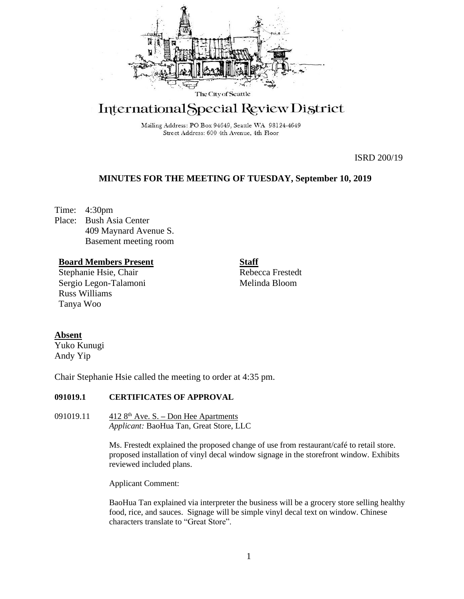

# International Special Review District

Mailing Address: PO Box 94649, Seattle WA 98124-4649 Street Address: 600 4th Avenue, 4th Floor

ISRD 200/19

# **MINUTES FOR THE MEETING OF TUESDAY, September 10, 2019**

Time: 4:30pm Place: Bush Asia Center 409 Maynard Avenue S. Basement meeting room

# **Board Members Present**

Stephanie Hsie, Chair Sergio Legon-Talamoni Russ Williams Tanya Woo

**Staff**

Rebecca Frestedt Melinda Bloom

## **Absent**

Yuko Kunugi Andy Yip

Chair Stephanie Hsie called the meeting to order at 4:35 pm.

# **091019.1 CERTIFICATES OF APPROVAL**

091019.11 412 8th Ave. S. **–** Don Hee Apartments *Applicant:* BaoHua Tan, Great Store, LLC

> Ms. Frestedt explained the proposed change of use from restaurant/café to retail store. proposed installation of vinyl decal window signage in the storefront window. Exhibits reviewed included plans.

Applicant Comment:

BaoHua Tan explained via interpreter the business will be a grocery store selling healthy food, rice, and sauces. Signage will be simple vinyl decal text on window. Chinese characters translate to "Great Store".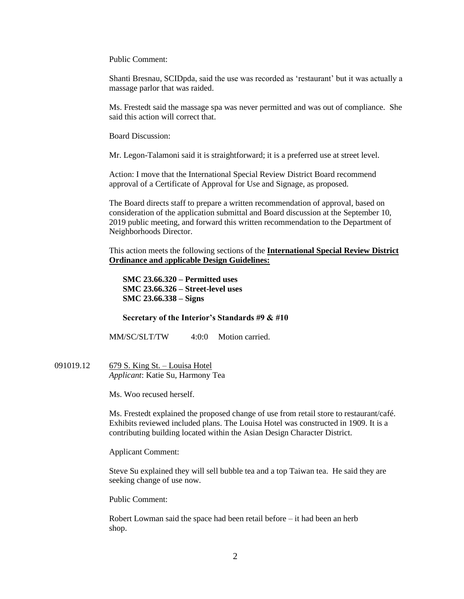Public Comment:

Shanti Bresnau, SCIDpda, said the use was recorded as 'restaurant' but it was actually a massage parlor that was raided.

Ms. Frestedt said the massage spa was never permitted and was out of compliance. She said this action will correct that.

Board Discussion:

Mr. Legon-Talamoni said it is straightforward; it is a preferred use at street level.

Action: I move that the International Special Review District Board recommend approval of a Certificate of Approval for Use and Signage, as proposed.

The Board directs staff to prepare a written recommendation of approval, based on consideration of the application submittal and Board discussion at the September 10, 2019 public meeting, and forward this written recommendation to the Department of Neighborhoods Director.

This action meets the following sections of the **International Special Review District Ordinance and** a**pplicable Design Guidelines:**

**SMC 23.66.320 – Permitted uses SMC 23.66.326 – Street-level uses SMC 23.66.338 – Signs**

#### **Secretary of the Interior's Standards #9 & #10**

MM/SC/SLT/TW 4:0:0 Motion carried.

091019.12 679 S. King St. – Louisa Hotel *Applicant*: Katie Su, Harmony Tea

Ms. Woo recused herself.

Ms. Frestedt explained the proposed change of use from retail store to restaurant/café. Exhibits reviewed included plans. The Louisa Hotel was constructed in 1909. It is a contributing building located within the Asian Design Character District.

Applicant Comment:

Steve Su explained they will sell bubble tea and a top Taiwan tea. He said they are seeking change of use now.

Public Comment:

Robert Lowman said the space had been retail before – it had been an herb shop.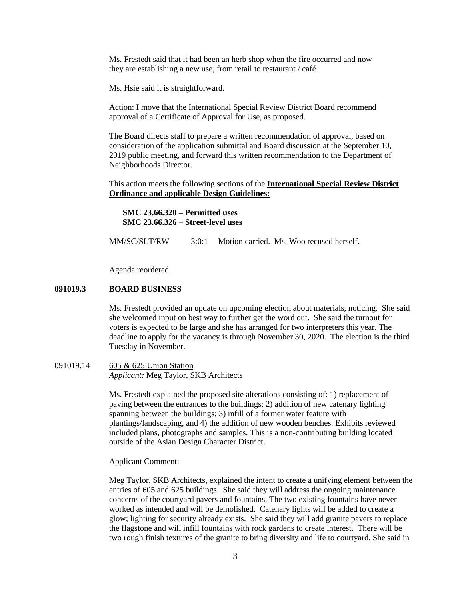Ms. Frestedt said that it had been an herb shop when the fire occurred and now they are establishing a new use, from retail to restaurant / café.

Ms. Hsie said it is straightforward.

Action: I move that the International Special Review District Board recommend approval of a Certificate of Approval for Use, as proposed.

The Board directs staff to prepare a written recommendation of approval, based on consideration of the application submittal and Board discussion at the September 10, 2019 public meeting, and forward this written recommendation to the Department of Neighborhoods Director.

This action meets the following sections of the **International Special Review District Ordinance and** a**pplicable Design Guidelines:**

**SMC 23.66.320 – Permitted uses SMC 23.66.326 – Street-level uses**

MM/SC/SLT/RW 3:0:1 Motion carried. Ms. Woo recused herself.

Agenda reordered.

# **091019.3 BOARD BUSINESS**

Ms. Frestedt provided an update on upcoming election about materials, noticing. She said she welcomed input on best way to further get the word out. She said the turnout for voters is expected to be large and she has arranged for two interpreters this year. The deadline to apply for the vacancy is through November 30, 2020. The election is the third Tuesday in November.

091019.14 605 & 625 Union Station *Applicant:* Meg Taylor, SKB Architects

> Ms. Frestedt explained the proposed site alterations consisting of: 1) replacement of paving between the entrances to the buildings; 2) addition of new catenary lighting spanning between the buildings; 3) infill of a former water feature with plantings/landscaping, and 4) the addition of new wooden benches. Exhibits reviewed included plans, photographs and samples. This is a non-contributing building located outside of the Asian Design Character District.

Applicant Comment:

Meg Taylor, SKB Architects, explained the intent to create a unifying element between the entries of 605 and 625 buildings. She said they will address the ongoing maintenance concerns of the courtyard pavers and fountains. The two existing fountains have never worked as intended and will be demolished. Catenary lights will be added to create a glow; lighting for security already exists. She said they will add granite pavers to replace the flagstone and will infill fountains with rock gardens to create interest. There will be two rough finish textures of the granite to bring diversity and life to courtyard. She said in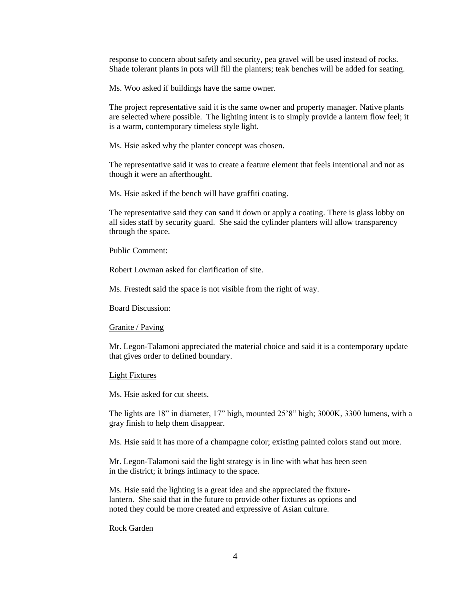response to concern about safety and security, pea gravel will be used instead of rocks. Shade tolerant plants in pots will fill the planters; teak benches will be added for seating.

Ms. Woo asked if buildings have the same owner.

The project representative said it is the same owner and property manager. Native plants are selected where possible. The lighting intent is to simply provide a lantern flow feel; it is a warm, contemporary timeless style light.

Ms. Hsie asked why the planter concept was chosen.

The representative said it was to create a feature element that feels intentional and not as though it were an afterthought.

Ms. Hsie asked if the bench will have graffiti coating.

The representative said they can sand it down or apply a coating. There is glass lobby on all sides staff by security guard. She said the cylinder planters will allow transparency through the space.

Public Comment:

Robert Lowman asked for clarification of site.

Ms. Frestedt said the space is not visible from the right of way.

Board Discussion:

#### Granite / Paving

Mr. Legon-Talamoni appreciated the material choice and said it is a contemporary update that gives order to defined boundary.

#### Light Fixtures

Ms. Hsie asked for cut sheets.

The lights are 18" in diameter, 17" high, mounted 25'8" high; 3000K, 3300 lumens, with a gray finish to help them disappear.

Ms. Hsie said it has more of a champagne color; existing painted colors stand out more.

Mr. Legon-Talamoni said the light strategy is in line with what has been seen in the district; it brings intimacy to the space.

Ms. Hsie said the lighting is a great idea and she appreciated the fixturelantern. She said that in the future to provide other fixtures as options and noted they could be more created and expressive of Asian culture.

#### Rock Garden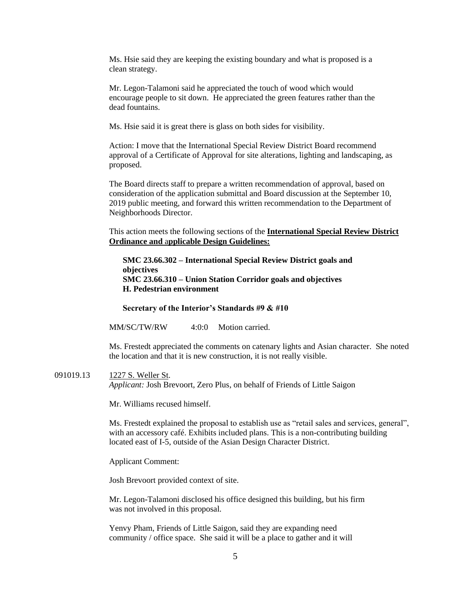Ms. Hsie said they are keeping the existing boundary and what is proposed is a clean strategy.

Mr. Legon-Talamoni said he appreciated the touch of wood which would encourage people to sit down. He appreciated the green features rather than the dead fountains.

Ms. Hsie said it is great there is glass on both sides for visibility.

Action: I move that the International Special Review District Board recommend approval of a Certificate of Approval for site alterations, lighting and landscaping, as proposed.

The Board directs staff to prepare a written recommendation of approval, based on consideration of the application submittal and Board discussion at the September 10, 2019 public meeting, and forward this written recommendation to the Department of Neighborhoods Director.

This action meets the following sections of the **International Special Review District Ordinance and** a**pplicable Design Guidelines:**

**SMC 23.66.302 – International Special Review District goals and objectives SMC 23.66.310 – Union Station Corridor goals and objectives H. Pedestrian environment**

**Secretary of the Interior's Standards #9 & #10**

MM/SC/TW/RW 4:0:0 Motion carried.

Ms. Frestedt appreciated the comments on catenary lights and Asian character. She noted the location and that it is new construction, it is not really visible.

091019.13 1227 S. Weller St. *Applicant:* Josh Brevoort, Zero Plus, on behalf of Friends of Little Saigon

Mr. Williams recused himself.

Ms. Frestedt explained the proposal to establish use as "retail sales and services, general", with an accessory café. Exhibits included plans. This is a non-contributing building located east of I-5, outside of the Asian Design Character District.

Applicant Comment:

Josh Brevoort provided context of site.

Mr. Legon-Talamoni disclosed his office designed this building, but his firm was not involved in this proposal.

Yenvy Pham, Friends of Little Saigon, said they are expanding need community / office space. She said it will be a place to gather and it will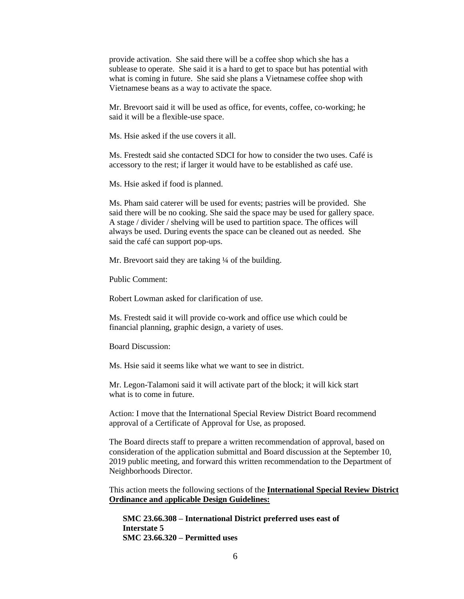provide activation. She said there will be a coffee shop which she has a sublease to operate. She said it is a hard to get to space but has potential with what is coming in future. She said she plans a Vietnamese coffee shop with Vietnamese beans as a way to activate the space.

Mr. Brevoort said it will be used as office, for events, coffee, co-working; he said it will be a flexible-use space.

Ms. Hsie asked if the use covers it all.

Ms. Frestedt said she contacted SDCI for how to consider the two uses. Café is accessory to the rest; if larger it would have to be established as café use.

Ms. Hsie asked if food is planned.

Ms. Pham said caterer will be used for events; pastries will be provided. She said there will be no cooking. She said the space may be used for gallery space. A stage / divider / shelving will be used to partition space. The offices will always be used. During events the space can be cleaned out as needed. She said the café can support pop-ups.

Mr. Brevoort said they are taking <sup>1</sup>/4 of the building.

Public Comment:

Robert Lowman asked for clarification of use.

Ms. Frestedt said it will provide co-work and office use which could be financial planning, graphic design, a variety of uses.

Board Discussion:

Ms. Hsie said it seems like what we want to see in district.

Mr. Legon-Talamoni said it will activate part of the block; it will kick start what is to come in future.

Action: I move that the International Special Review District Board recommend approval of a Certificate of Approval for Use, as proposed.

The Board directs staff to prepare a written recommendation of approval, based on consideration of the application submittal and Board discussion at the September 10, 2019 public meeting, and forward this written recommendation to the Department of Neighborhoods Director.

This action meets the following sections of the **International Special Review District Ordinance and** a**pplicable Design Guidelines:**

**SMC 23.66.308 – International District preferred uses east of Interstate 5 SMC 23.66.320 – Permitted uses**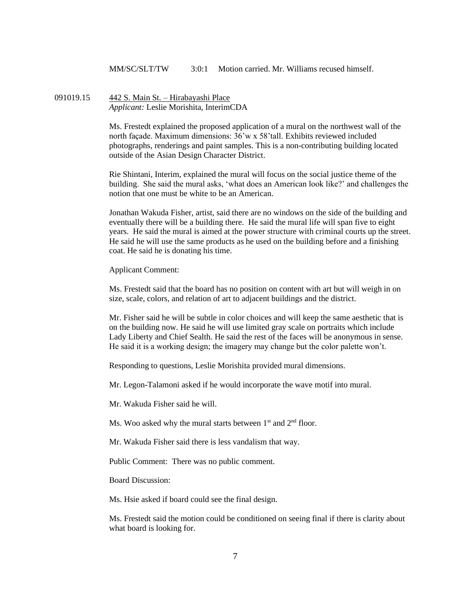MM/SC/SLT/TW 3:0:1 Motion carried Mr. Williams recused himself.

091019.15 442 S. Main St. – Hirabayashi Place *Applicant:* Leslie Morishita, InterimCDA

> Ms. Frestedt explained the proposed application of a mural on the northwest wall of the north façade. Maximum dimensions: 36'w x 58'tall. Exhibits reviewed included photographs, renderings and paint samples. This is a non-contributing building located outside of the Asian Design Character District.

Rie Shintani, Interim, explained the mural will focus on the social justice theme of the building. She said the mural asks, 'what does an American look like?' and challenges the notion that one must be white to be an American.

Jonathan Wakuda Fisher, artist, said there are no windows on the side of the building and eventually there will be a building there. He said the mural life will span five to eight years. He said the mural is aimed at the power structure with criminal courts up the street. He said he will use the same products as he used on the building before and a finishing coat. He said he is donating his time.

Applicant Comment:

Ms. Frestedt said that the board has no position on content with art but will weigh in on size, scale, colors, and relation of art to adjacent buildings and the district.

Mr. Fisher said he will be subtle in color choices and will keep the same aesthetic that is on the building now. He said he will use limited gray scale on portraits which include Lady Liberty and Chief Sealth. He said the rest of the faces will be anonymous in sense. He said it is a working design; the imagery may change but the color palette won't.

Responding to questions, Leslie Morishita provided mural dimensions.

Mr. Legon-Talamoni asked if he would incorporate the wave motif into mural.

Mr. Wakuda Fisher said he will.

Ms. Woo asked why the mural starts between 1<sup>st</sup> and 2<sup>nd</sup> floor.

Mr. Wakuda Fisher said there is less vandalism that way.

Public Comment: There was no public comment.

Board Discussion:

Ms. Hsie asked if board could see the final design.

Ms. Frestedt said the motion could be conditioned on seeing final if there is clarity about what board is looking for.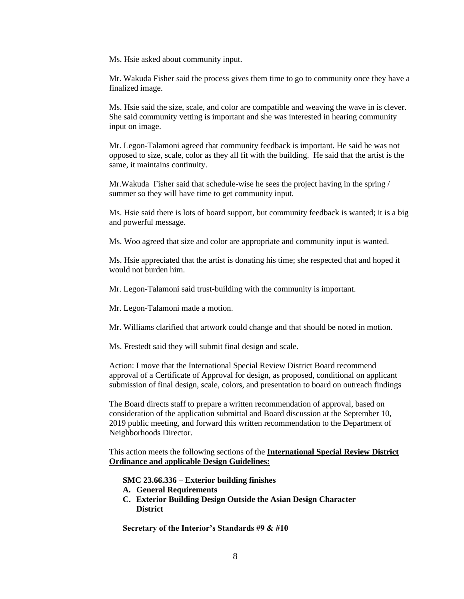Ms. Hsie asked about community input.

Mr. Wakuda Fisher said the process gives them time to go to community once they have a finalized image.

Ms. Hsie said the size, scale, and color are compatible and weaving the wave in is clever. She said community vetting is important and she was interested in hearing community input on image.

Mr. Legon-Talamoni agreed that community feedback is important. He said he was not opposed to size, scale, color as they all fit with the building. He said that the artist is the same, it maintains continuity.

Mr.Wakuda Fisher said that schedule-wise he sees the project having in the spring / summer so they will have time to get community input.

Ms. Hsie said there is lots of board support, but community feedback is wanted; it is a big and powerful message.

Ms. Woo agreed that size and color are appropriate and community input is wanted.

Ms. Hsie appreciated that the artist is donating his time; she respected that and hoped it would not burden him.

Mr. Legon-Talamoni said trust-building with the community is important.

Mr. Legon-Talamoni made a motion.

Mr. Williams clarified that artwork could change and that should be noted in motion.

Ms. Frestedt said they will submit final design and scale.

Action: I move that the International Special Review District Board recommend approval of a Certificate of Approval for design, as proposed, conditional on applicant submission of final design, scale, colors, and presentation to board on outreach findings

The Board directs staff to prepare a written recommendation of approval, based on consideration of the application submittal and Board discussion at the September 10, 2019 public meeting, and forward this written recommendation to the Department of Neighborhoods Director.

This action meets the following sections of the **International Special Review District Ordinance and** a**pplicable Design Guidelines:**

**SMC 23.66.336 – Exterior building finishes**

- **A. General Requirements**
- **C. Exterior Building Design Outside the Asian Design Character District**

**Secretary of the Interior's Standards #9 & #10**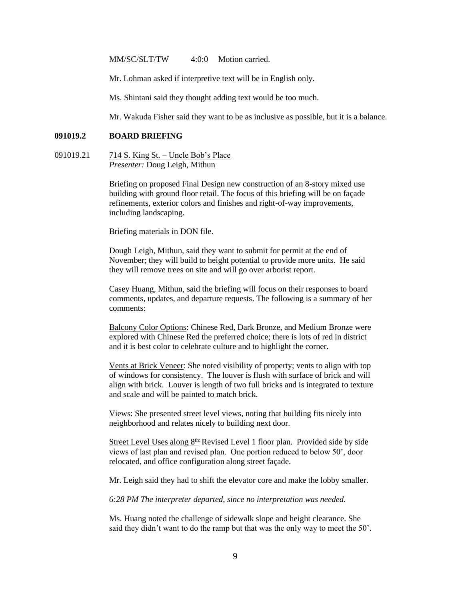MM/SC/SLT/TW 4:0:0 Motion carried.

Mr. Lohman asked if interpretive text will be in English only.

Ms. Shintani said they thought adding text would be too much.

Mr. Wakuda Fisher said they want to be as inclusive as possible, but it is a balance.

#### **091019.2 BOARD BRIEFING**

091019.21 714 S. King St. – Uncle Bob's Place *Presenter:* Doug Leigh, Mithun

> Briefing on proposed Final Design new construction of an 8-story mixed use building with ground floor retail. The focus of this briefing will be on façade refinements, exterior colors and finishes and right-of-way improvements, including landscaping.

Briefing materials in DON file.

Dough Leigh, Mithun, said they want to submit for permit at the end of November; they will build to height potential to provide more units. He said they will remove trees on site and will go over arborist report.

Casey Huang, Mithun, said the briefing will focus on their responses to board comments, updates, and departure requests. The following is a summary of her comments:

Balcony Color Options: Chinese Red, Dark Bronze, and Medium Bronze were explored with Chinese Red the preferred choice; there is lots of red in district and it is best color to celebrate culture and to highlight the corner.

Vents at Brick Veneer: She noted visibility of property; vents to align with top of windows for consistency. The louver is flush with surface of brick and will align with brick. Louver is length of two full bricks and is integrated to texture and scale and will be painted to match brick.

Views: She presented street level views, noting that building fits nicely into neighborhood and relates nicely to building next door.

Street Level Uses along  $8<sup>th</sup>$  Revised Level 1 floor plan. Provided side by side views of last plan and revised plan. One portion reduced to below 50', door relocated, and office configuration along street façade.

Mr. Leigh said they had to shift the elevator core and make the lobby smaller.

*6:28 PM The interpreter departed, since no interpretation was needed.*

Ms. Huang noted the challenge of sidewalk slope and height clearance. She said they didn't want to do the ramp but that was the only way to meet the 50'.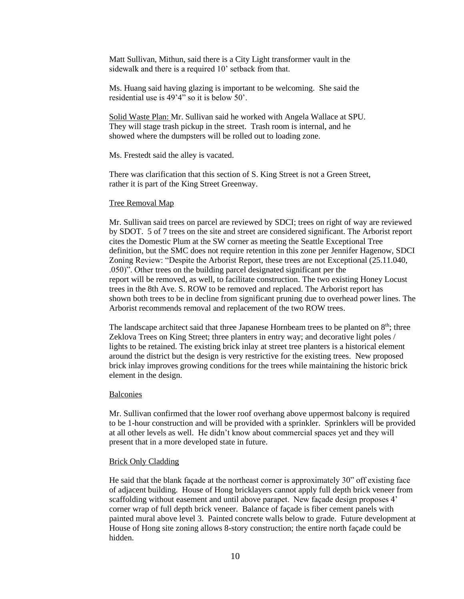Matt Sullivan, Mithun, said there is a City Light transformer vault in the sidewalk and there is a required 10' setback from that.

Ms. Huang said having glazing is important to be welcoming. She said the residential use is 49'4" so it is below 50'.

Solid Waste Plan: Mr. Sullivan said he worked with Angela Wallace at SPU. They will stage trash pickup in the street. Trash room is internal, and he showed where the dumpsters will be rolled out to loading zone.

Ms. Frestedt said the alley is vacated.

There was clarification that this section of S. King Street is not a Green Street, rather it is part of the King Street Greenway.

#### Tree Removal Map

Mr. Sullivan said trees on parcel are reviewed by SDCI; trees on right of way are reviewed by SDOT. 5 of 7 trees on the site and street are considered significant. The Arborist report cites the Domestic Plum at the SW corner as meeting the Seattle Exceptional Tree definition, but the SMC does not require retention in this zone per Jennifer Hagenow, SDCI Zoning Review: "Despite the Arborist Report, these trees are not Exceptional (25.11.040, .050)". Other trees on the building parcel designated significant per the report will be removed, as well, to facilitate construction. The two existing Honey Locust trees in the 8th Ave. S. ROW to be removed and replaced. The Arborist report has shown both trees to be in decline from significant pruning due to overhead power lines. The Arborist recommends removal and replacement of the two ROW trees.

The landscape architect said that three Japanese Hornbeam trees to be planted on  $8<sup>th</sup>$ ; three Zeklova Trees on King Street; three planters in entry way; and decorative light poles / lights to be retained. The existing brick inlay at street tree planters is a historical element around the district but the design is very restrictive for the existing trees. New proposed brick inlay improves growing conditions for the trees while maintaining the historic brick element in the design.

#### Balconies

Mr. Sullivan confirmed that the lower roof overhang above uppermost balcony is required to be 1-hour construction and will be provided with a sprinkler. Sprinklers will be provided at all other levels as well. He didn't know about commercial spaces yet and they will present that in a more developed state in future.

#### Brick Only Cladding

He said that the blank façade at the northeast corner is approximately 30" off existing face of adjacent building. House of Hong bricklayers cannot apply full depth brick veneer from scaffolding without easement and until above parapet. New façade design proposes 4' corner wrap of full depth brick veneer. Balance of façade is fiber cement panels with painted mural above level 3. Painted concrete walls below to grade. Future development at House of Hong site zoning allows 8-story construction; the entire north façade could be hidden.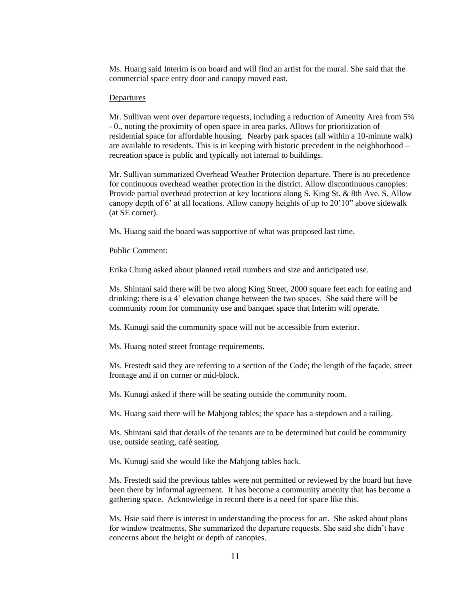Ms. Huang said Interim is on board and will find an artist for the mural. She said that the commercial space entry door and canopy moved east.

#### **Departures**

Mr. Sullivan went over departure requests, including a reduction of Amenity Area from 5% - 0., noting the proximity of open space in area parks. Allows for prioritization of residential space for affordable housing. Nearby park spaces (all within a 10-minute walk) are available to residents. This is in keeping with historic precedent in the neighborhood – recreation space is public and typically not internal to buildings.

Mr. Sullivan summarized Overhead Weather Protection departure. There is no precedence for continuous overhead weather protection in the district. Allow discontinuous canopies: Provide partial overhead protection at key locations along S. King St. & 8th Ave. S. Allow canopy depth of 6' at all locations. Allow canopy heights of up to 20'10" above sidewalk (at SE corner).

Ms. Huang said the board was supportive of what was proposed last time.

Public Comment:

Erika Chung asked about planned retail numbers and size and anticipated use.

Ms. Shintani said there will be two along King Street, 2000 square feet each for eating and drinking; there is a 4' elevation change between the two spaces. She said there will be community room for community use and banquet space that Interim will operate.

Ms. Kunugi said the community space will not be accessible from exterior.

Ms. Huang noted street frontage requirements.

Ms. Frestedt said they are referring to a section of the Code; the length of the façade, street frontage and if on corner or mid-block.

Ms. Kunugi asked if there will be seating outside the community room.

Ms. Huang said there will be Mahjong tables; the space has a stepdown and a railing.

Ms. Shintani said that details of the tenants are to be determined but could be community use, outside seating, café seating.

Ms. Kunugi said she would like the Mahjong tables back.

Ms. Frestedt said the previous tables were not permitted or reviewed by the board but have been there by informal agreement. It has become a community amenity that has become a gathering space. Acknowledge in record there is a need for space like this.

Ms. Hsie said there is interest in understanding the process for art. She asked about plans for window treatments. She summarized the departure requests. She said she didn't have concerns about the height or depth of canopies.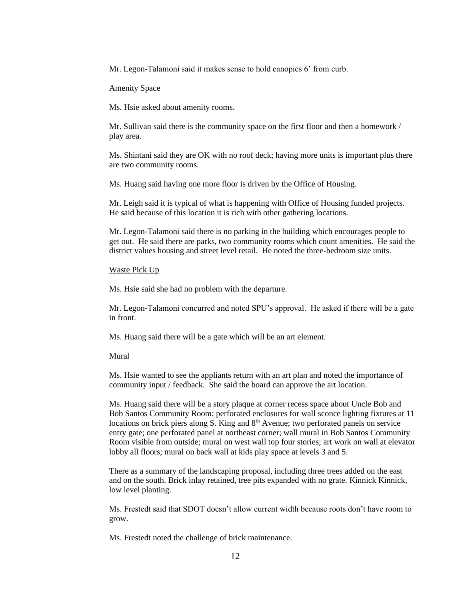Mr. Legon-Talamoni said it makes sense to hold canopies 6' from curb.

### Amenity Space

Ms. Hsie asked about amenity rooms.

Mr. Sullivan said there is the community space on the first floor and then a homework / play area.

Ms. Shintani said they are OK with no roof deck; having more units is important plus there are two community rooms.

Ms. Huang said having one more floor is driven by the Office of Housing.

Mr. Leigh said it is typical of what is happening with Office of Housing funded projects. He said because of this location it is rich with other gathering locations.

Mr. Legon-Talamoni said there is no parking in the building which encourages people to get out. He said there are parks, two community rooms which count amenities. He said the district values housing and street level retail. He noted the three-bedroom size units.

## Waste Pick Up

Ms. Hsie said she had no problem with the departure.

Mr. Legon-Talamoni concurred and noted SPU's approval. He asked if there will be a gate in front.

Ms. Huang said there will be a gate which will be an art element.

#### Mural

Ms. Hsie wanted to see the appliants return with an art plan and noted the importance of community input / feedback. She said the board can approve the art location.

Ms. Huang said there will be a story plaque at corner recess space about Uncle Bob and Bob Santos Community Room; perforated enclosures for wall sconce lighting fixtures at 11 locations on brick piers along S. King and  $8<sup>th</sup>$  Avenue; two perforated panels on service entry gate; one perforated panel at northeast corner; wall mural in Bob Santos Community Room visible from outside; mural on west wall top four stories; art work on wall at elevator lobby all floors; mural on back wall at kids play space at levels 3 and 5.

There as a summary of the landscaping proposal, including three trees added on the east and on the south. Brick inlay retained, tree pits expanded with no grate. Kinnick Kinnick, low level planting.

Ms. Frestedt said that SDOT doesn't allow current width because roots don't have room to grow.

Ms. Frestedt noted the challenge of brick maintenance.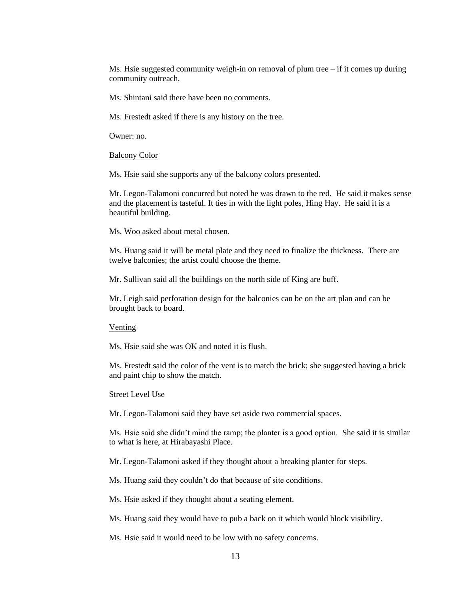Ms. Hsie suggested community weigh-in on removal of plum tree  $-$  if it comes up during community outreach.

Ms. Shintani said there have been no comments.

Ms. Frestedt asked if there is any history on the tree.

Owner: no.

Balcony Color

Ms. Hsie said she supports any of the balcony colors presented.

Mr. Legon-Talamoni concurred but noted he was drawn to the red. He said it makes sense and the placement is tasteful. It ties in with the light poles, Hing Hay. He said it is a beautiful building.

Ms. Woo asked about metal chosen.

Ms. Huang said it will be metal plate and they need to finalize the thickness. There are twelve balconies; the artist could choose the theme.

Mr. Sullivan said all the buildings on the north side of King are buff.

Mr. Leigh said perforation design for the balconies can be on the art plan and can be brought back to board.

#### Venting

Ms. Hsie said she was OK and noted it is flush.

Ms. Frestedt said the color of the vent is to match the brick; she suggested having a brick and paint chip to show the match.

#### Street Level Use

Mr. Legon-Talamoni said they have set aside two commercial spaces.

Ms. Hsie said she didn't mind the ramp; the planter is a good option. She said it is similar to what is here, at Hirabayashi Place.

Mr. Legon-Talamoni asked if they thought about a breaking planter for steps.

Ms. Huang said they couldn't do that because of site conditions.

Ms. Hsie asked if they thought about a seating element.

Ms. Huang said they would have to pub a back on it which would block visibility.

Ms. Hsie said it would need to be low with no safety concerns.